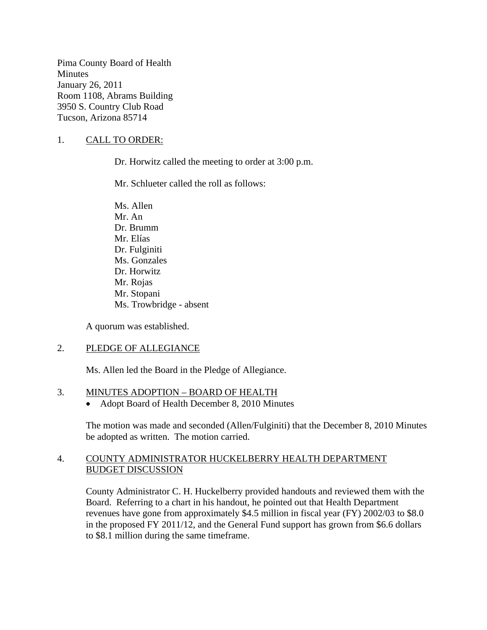Pima County Board of Health **Minutes** January 26, 2011 Room 1108, Abrams Building 3950 S. Country Club Road Tucson, Arizona 85714

## 1. CALL TO ORDER:

Dr. Horwitz called the meeting to order at 3:00 p.m.

Mr. Schlueter called the roll as follows:

Ms. Allen Mr. An Dr. Brumm Mr. Elías Dr. Fulginiti Ms. Gonzales Dr. Horwitz Mr. Rojas Mr. Stopani Ms. Trowbridge - absent

A quorum was established.

#### 2. PLEDGE OF ALLEGIANCE

Ms. Allen led the Board in the Pledge of Allegiance.

#### 3. MINUTES ADOPTION – BOARD OF HEALTH

• Adopt Board of Health December 8, 2010 Minutes

The motion was made and seconded (Allen/Fulginiti) that the December 8, 2010 Minutes be adopted as written. The motion carried.

#### 4. COUNTY ADMINISTRATOR HUCKELBERRY HEALTH DEPARTMENT BUDGET DISCUSSION

County Administrator C. H. Huckelberry provided handouts and reviewed them with the Board. Referring to a chart in his handout, he pointed out that Health Department revenues have gone from approximately \$4.5 million in fiscal year (FY) 2002/03 to \$8.0 in the proposed FY 2011/12, and the General Fund support has grown from \$6.6 dollars to \$8.1 million during the same timeframe.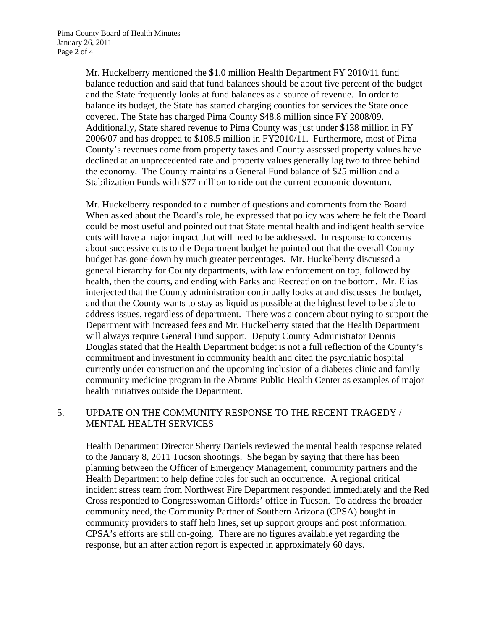Mr. Huckelberry mentioned the \$1.0 million Health Department FY 2010/11 fund balance reduction and said that fund balances should be about five percent of the budget and the State frequently looks at fund balances as a source of revenue. In order to balance its budget, the State has started charging counties for services the State once covered. The State has charged Pima County \$48.8 million since FY 2008/09. Additionally, State shared revenue to Pima County was just under \$138 million in FY 2006/07 and has dropped to \$108.5 million in FY2010/11. Furthermore, most of Pima County's revenues come from property taxes and County assessed property values have declined at an unprecedented rate and property values generally lag two to three behind the economy. The County maintains a General Fund balance of \$25 million and a Stabilization Funds with \$77 million to ride out the current economic downturn.

Mr. Huckelberry responded to a number of questions and comments from the Board. When asked about the Board's role, he expressed that policy was where he felt the Board could be most useful and pointed out that State mental health and indigent health service cuts will have a major impact that will need to be addressed. In response to concerns about successive cuts to the Department budget he pointed out that the overall County budget has gone down by much greater percentages. Mr. Huckelberry discussed a general hierarchy for County departments, with law enforcement on top, followed by health, then the courts, and ending with Parks and Recreation on the bottom. Mr. Elías interjected that the County administration continually looks at and discusses the budget, and that the County wants to stay as liquid as possible at the highest level to be able to address issues, regardless of department. There was a concern about trying to support the Department with increased fees and Mr. Huckelberry stated that the Health Department will always require General Fund support. Deputy County Administrator Dennis Douglas stated that the Health Department budget is not a full reflection of the County's commitment and investment in community health and cited the psychiatric hospital currently under construction and the upcoming inclusion of a diabetes clinic and family community medicine program in the Abrams Public Health Center as examples of major health initiatives outside the Department.

# 5. UPDATE ON THE COMMUNITY RESPONSE TO THE RECENT TRAGEDY / MENTAL HEALTH SERVICES

Health Department Director Sherry Daniels reviewed the mental health response related to the January 8, 2011 Tucson shootings. She began by saying that there has been planning between the Officer of Emergency Management, community partners and the Health Department to help define roles for such an occurrence. A regional critical incident stress team from Northwest Fire Department responded immediately and the Red Cross responded to Congresswoman Giffords' office in Tucson. To address the broader community need, the Community Partner of Southern Arizona (CPSA) bought in community providers to staff help lines, set up support groups and post information. CPSA's efforts are still on-going. There are no figures available yet regarding the response, but an after action report is expected in approximately 60 days.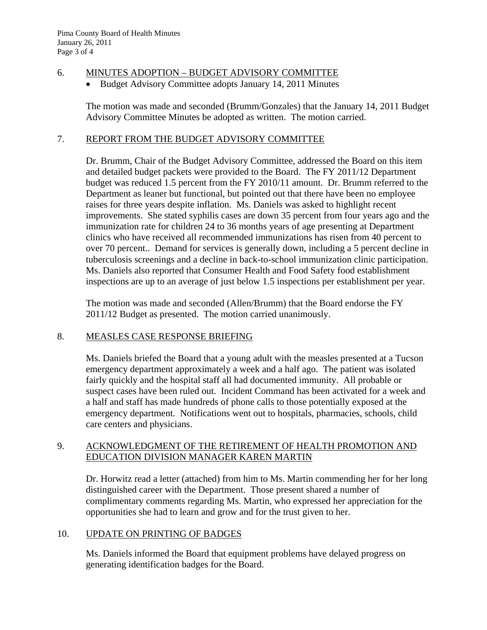### 6. MINUTES ADOPTION – BUDGET ADVISORY COMMITTEE

Budget Advisory Committee adopts January 14, 2011 Minutes

The motion was made and seconded (Brumm/Gonzales) that the January 14, 2011 Budget Advisory Committee Minutes be adopted as written. The motion carried.

### 7. REPORT FROM THE BUDGET ADVISORY COMMITTEE

Dr. Brumm, Chair of the Budget Advisory Committee, addressed the Board on this item and detailed budget packets were provided to the Board. The FY 2011/12 Department budget was reduced 1.5 percent from the FY 2010/11 amount. Dr. Brumm referred to the Department as leaner but functional, but pointed out that there have been no employee raises for three years despite inflation. Ms. Daniels was asked to highlight recent improvements. She stated syphilis cases are down 35 percent from four years ago and the immunization rate for children 24 to 36 months years of age presenting at Department clinics who have received all recommended immunizations has risen from 40 percent to over 70 percent.. Demand for services is generally down, including a 5 percent decline in tuberculosis screenings and a decline in back-to-school immunization clinic participation. Ms. Daniels also reported that Consumer Health and Food Safety food establishment inspections are up to an average of just below 1.5 inspections per establishment per year.

The motion was made and seconded (Allen/Brumm) that the Board endorse the FY 2011/12 Budget as presented. The motion carried unanimously.

#### 8. MEASLES CASE RESPONSE BRIEFING

Ms. Daniels briefed the Board that a young adult with the measles presented at a Tucson emergency department approximately a week and a half ago. The patient was isolated fairly quickly and the hospital staff all had documented immunity. All probable or suspect cases have been ruled out. Incident Command has been activated for a week and a half and staff has made hundreds of phone calls to those potentially exposed at the emergency department. Notifications went out to hospitals, pharmacies, schools, child care centers and physicians.

#### 9. ACKNOWLEDGMENT OF THE RETIREMENT OF HEALTH PROMOTION AND EDUCATION DIVISION MANAGER KAREN MARTIN

Dr. Horwitz read a letter (attached) from him to Ms. Martin commending her for her long distinguished career with the Department. Those present shared a number of complimentary comments regarding Ms. Martin, who expressed her appreciation for the opportunities she had to learn and grow and for the trust given to her.

# 10. UPDATE ON PRINTING OF BADGES

Ms. Daniels informed the Board that equipment problems have delayed progress on generating identification badges for the Board.